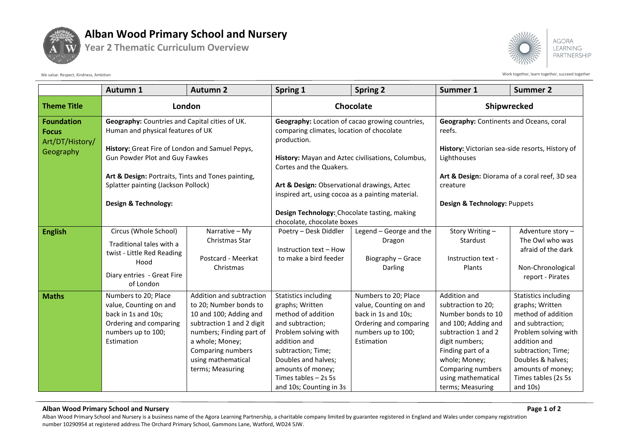

## **Alban Wood Primary School and Nursery**

**Year 2 Thematic Curriculum Overview**



We value: Respect, Kindness, Ambition succeed together acceed together acceed together succeed together and the Viork together, learn together, succeed together

|                                                                   | Autumn 1                                                                                                                                                                                                                                                                                      | <b>Autumn 2</b>                                                                                                                                                                                                         | Spring 1                                                                                                                                                                                                                                              | <b>Spring 2</b>                                                                                                                     | Summer 1                                                                                                                                                                                                                      | <b>Summer 2</b>                                                                                                                                                                                                                 |
|-------------------------------------------------------------------|-----------------------------------------------------------------------------------------------------------------------------------------------------------------------------------------------------------------------------------------------------------------------------------------------|-------------------------------------------------------------------------------------------------------------------------------------------------------------------------------------------------------------------------|-------------------------------------------------------------------------------------------------------------------------------------------------------------------------------------------------------------------------------------------------------|-------------------------------------------------------------------------------------------------------------------------------------|-------------------------------------------------------------------------------------------------------------------------------------------------------------------------------------------------------------------------------|---------------------------------------------------------------------------------------------------------------------------------------------------------------------------------------------------------------------------------|
| <b>Theme Title</b>                                                | London                                                                                                                                                                                                                                                                                        |                                                                                                                                                                                                                         | Chocolate                                                                                                                                                                                                                                             |                                                                                                                                     | Shipwrecked                                                                                                                                                                                                                   |                                                                                                                                                                                                                                 |
| <b>Foundation</b><br><b>Focus</b><br>Art/DT/History/<br>Geography | Geography: Countries and Capital cities of UK.<br>Human and physical features of UK<br>History: Great Fire of London and Samuel Pepys,<br>Gun Powder Plot and Guy Fawkes<br>Art & Design: Portraits, Tints and Tones painting,<br>Splatter painting (Jackson Pollock)<br>Design & Technology: |                                                                                                                                                                                                                         | Geography: Location of cacao growing countries,<br>comparing climates, location of chocolate<br>production.<br>History: Mayan and Aztec civilisations, Columbus,<br>Cortes and the Quakers.                                                           |                                                                                                                                     | <b>Geography:</b> Continents and Oceans, coral<br>reefs.<br>History: Victorian sea-side resorts, History of<br>Lighthouses<br>Art & Design: Diorama of a coral reef, 3D sea                                                   |                                                                                                                                                                                                                                 |
|                                                                   |                                                                                                                                                                                                                                                                                               |                                                                                                                                                                                                                         | Art & Design: Observational drawings, Aztec<br>inspired art, using cocoa as a painting material.<br>Design Technology: Chocolate tasting, making<br>chocolate, chocolate boxes                                                                        |                                                                                                                                     | creature<br>Design & Technology: Puppets                                                                                                                                                                                      |                                                                                                                                                                                                                                 |
| <b>English</b>                                                    | Circus (Whole School)<br>Traditional tales with a<br>twist - Little Red Reading<br>Hood<br>Diary entries - Great Fire<br>of London                                                                                                                                                            | Narrative - My<br>Christmas Star<br>Postcard - Meerkat<br>Christmas                                                                                                                                                     | Poetry - Desk Diddler<br>Instruction text - How<br>to make a bird feeder                                                                                                                                                                              | Legend - George and the<br>Dragon<br>Biography - Grace<br>Darling                                                                   | Story Writing-<br>Stardust<br>Instruction text -<br>Plants                                                                                                                                                                    | Adventure story-<br>The Owl who was<br>afraid of the dark<br>Non-Chronological<br>report - Pirates                                                                                                                              |
| <b>Maths</b>                                                      | Numbers to 20; Place<br>value, Counting on and<br>back in 1s and 10s;<br>Ordering and comparing<br>numbers up to 100;<br>Estimation                                                                                                                                                           | Addition and subtraction<br>to 20; Number bonds to<br>10 and 100; Adding and<br>subtraction 1 and 2 digit<br>numbers; Finding part of<br>a whole; Money;<br>Comparing numbers<br>using mathematical<br>terms; Measuring | <b>Statistics including</b><br>graphs; Written<br>method of addition<br>and subtraction;<br>Problem solving with<br>addition and<br>subtraction; Time;<br>Doubles and halves;<br>amounts of money;<br>Times tables - 2s 5s<br>and 10s; Counting in 3s | Numbers to 20; Place<br>value, Counting on and<br>back in 1s and 10s;<br>Ordering and comparing<br>numbers up to 100;<br>Estimation | Addition and<br>subtraction to 20;<br>Number bonds to 10<br>and 100; Adding and<br>subtraction 1 and 2<br>digit numbers;<br>Finding part of a<br>whole; Money;<br>Comparing numbers<br>using mathematical<br>terms; Measuring | Statistics including<br>graphs; Written<br>method of addition<br>and subtraction;<br>Problem solving with<br>addition and<br>subtraction; Time;<br>Doubles & halves;<br>amounts of money;<br>Times tables (2s 5s<br>and $10s$ ) |

## **Alban Wood Primary School and Nursery Page 1 of 2**

Alban Wood Primary School and Nursery is a business name of the Agora Learning Partnership, a charitable company limited by guarantee registered in England and Wales under company registration number 10290954 at registered address The Orchard Primary School, Gammons Lane, Watford, WD24 5JW.